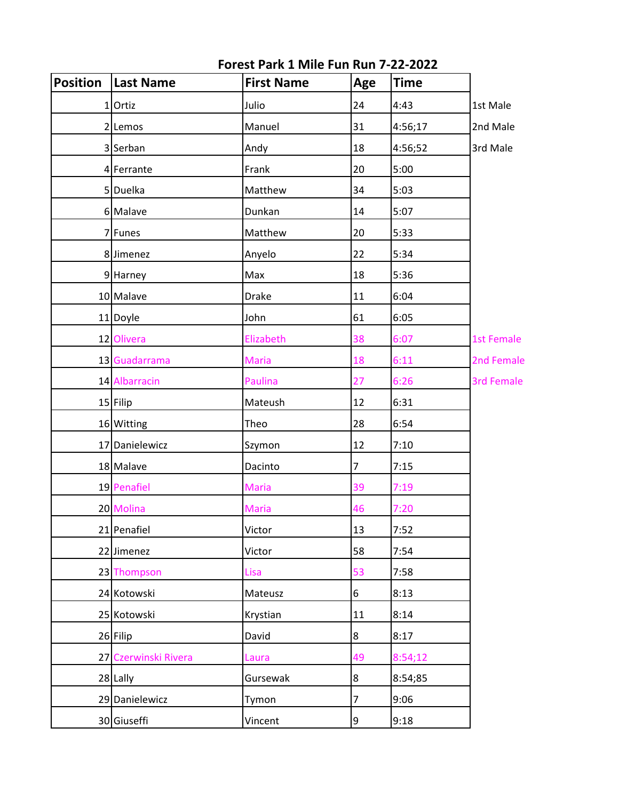| <b>Position</b> | Last Name            | <b>First Name</b> | Age            | <b>Time</b> |                   |
|-----------------|----------------------|-------------------|----------------|-------------|-------------------|
|                 | 1 Ortiz              | Julio             | 24             | 4:43        | 1st Male          |
|                 | 2 Lemos              | Manuel            | 31             | 4:56;17     | 2nd Male          |
|                 | 3 Serban             | Andy              | 18             | 4:56;52     | 3rd Male          |
|                 | 4 Ferrante           | Frank             | 20             | 5:00        |                   |
|                 | 5 Duelka             | Matthew           | 34             | 5:03        |                   |
|                 | 6 Malave             | Dunkan            | 14             | 5:07        |                   |
|                 | 7 Funes              | Matthew           | 20             | 5:33        |                   |
|                 | 8 Jimenez            | Anyelo            | 22             | 5:34        |                   |
|                 | 9 Harney             | Max               | 18             | 5:36        |                   |
|                 | 10 Malave            | <b>Drake</b>      | $11\,$         | 6:04        |                   |
|                 | 11 Doyle             | John              | 61             | 6:05        |                   |
|                 | 12 Olivera           | Elizabeth         | 38             | 6:07        | 1st Female        |
|                 | 13 Guadarrama        | <b>Maria</b>      | 18             | 6:11        | 2nd Female        |
|                 | 14 Albarracin        | Paulina           | 27             | 6:26        | <b>3rd Female</b> |
|                 | 15 Filip             | Mateush           | 12             | 6:31        |                   |
|                 | 16 Witting           | Theo              | 28             | 6:54        |                   |
|                 | 17 Danielewicz       | Szymon            | 12             | 7:10        |                   |
|                 | 18 Malave            | Dacinto           | $\overline{7}$ | 7:15        |                   |
|                 | 19 Penafiel          | <b>Maria</b>      | 39             | 7:19        |                   |
|                 | 20 Molina            | <b>Maria</b>      | 46             | 7:20        |                   |
|                 | 21 Penafiel          | Victor            | 13             | 7:52        |                   |
|                 | 22 Jimenez           | Victor            | 58             | 7:54        |                   |
|                 | 23 Thompson          | Lisa              | 53             | 7:58        |                   |
|                 | 24 Kotowski          | Mateusz           | 6              | 8:13        |                   |
|                 | 25 Kotowski          | Krystian          | 11             | 8:14        |                   |
|                 | 26 Filip             | David             | $\bf 8$        | 8:17        |                   |
|                 | 27 Czerwinski Rivera | Laura             | 49             | 8:54;12     |                   |
|                 | 28 Lally             | Gursewak          | $\bf 8$        | 8:54;85     |                   |
|                 | 29 Danielewicz       | Tymon             | 7              | 9:06        |                   |
|                 | 30 Giuseffi          | Vincent           | $\overline{9}$ | 9:18        |                   |

**Forest Park 1 Mile Fun Run 7-22-2022**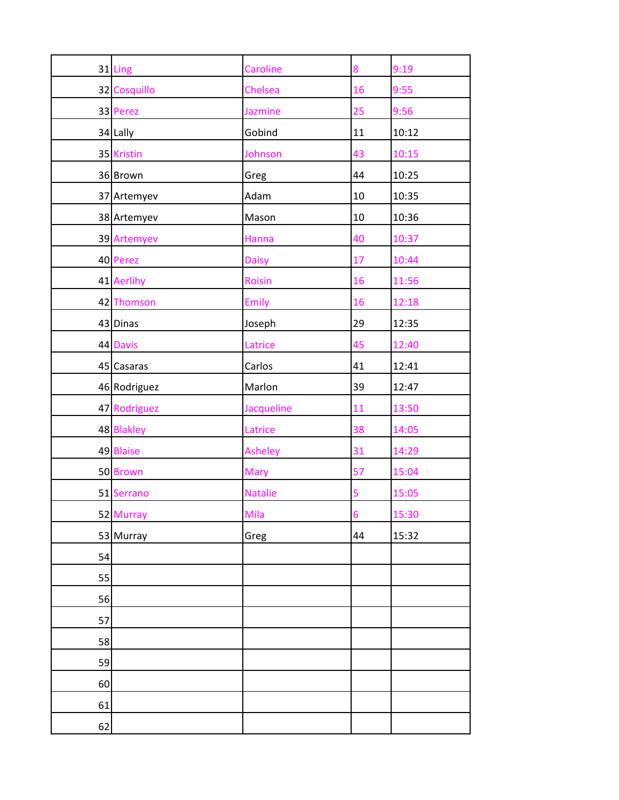|    | 31 Ling      | Caroline       | 8              | 9:19  |
|----|--------------|----------------|----------------|-------|
|    | 32 Cosquillo | Chelsea        | 16             | 9:55  |
|    | 33 Perez     | <b>Jazmine</b> | 25             | 9:56  |
|    | 34 Lally     | Gobind         | $11\,$         | 10:12 |
|    | 35 Kristin   | Johnson        | 43             | 10:15 |
|    | 36 Brown     | Greg           | 44             | 10:25 |
|    | 37 Artemyev  | Adam           | $10\,$         | 10:35 |
|    | 38 Artemyev  | Mason          | $10\,$         | 10:36 |
|    | 39 Artemyev  | Hanna          | 40             | 10:37 |
|    | 40 Perez     | <b>Daisy</b>   | 17             | 10:44 |
|    | 41 Aerlihy   | <b>Roisin</b>  | 16             | 11:56 |
|    | 42 Thomson   | Emily          | 16             | 12:18 |
|    | 43 Dinas     | Joseph         | 29             | 12:35 |
|    | 44 Davis     | Latrice        | 45             | 12:40 |
|    | 45 Casaras   | Carlos         | 41             | 12:41 |
|    | 46 Rodriguez | Marlon         | 39             | 12:47 |
|    | 47 Rodriguez | Jacqueline     | 11             | 13:50 |
|    | 48 Blakley   | Latrice        | 38             | 14:05 |
|    | 49 Blaise    | <b>Asheley</b> | 31             | 14:29 |
|    | 50 Brown     | Mary           | 57             | 15:04 |
|    | 51 Serrano   | <b>Natalie</b> | 5              | 15:05 |
|    | 52 Murray    | Mila           | $\overline{6}$ | 15:30 |
|    | 53 Murray    | Greg           | 44             | 15:32 |
| 54 |              |                |                |       |
| 55 |              |                |                |       |
| 56 |              |                |                |       |
| 57 |              |                |                |       |
| 58 |              |                |                |       |
| 59 |              |                |                |       |
| 60 |              |                |                |       |
| 61 |              |                |                |       |
| 62 |              |                |                |       |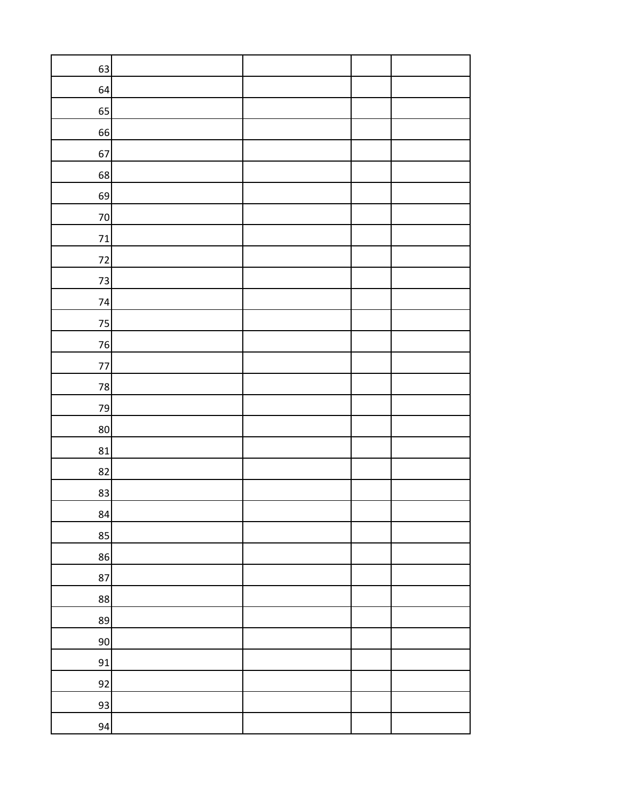| 63       |  |  |
|----------|--|--|
| 64       |  |  |
| 65       |  |  |
| 66       |  |  |
| 67       |  |  |
| 68       |  |  |
| 69       |  |  |
| $70\,$   |  |  |
| $\bf 71$ |  |  |
| $72$     |  |  |
| $73\,$   |  |  |
| 74       |  |  |
| $75\,$   |  |  |
| 76       |  |  |
| $77\,$   |  |  |
| 78       |  |  |
| 79       |  |  |
| $80\,$   |  |  |
| 81       |  |  |
| 82       |  |  |
| 83       |  |  |
| 84       |  |  |
| 85       |  |  |
| 86       |  |  |
| 87       |  |  |
| 88       |  |  |
| 89       |  |  |
| $90\,$   |  |  |
| 91       |  |  |
| 92       |  |  |
| 93       |  |  |
| 94       |  |  |